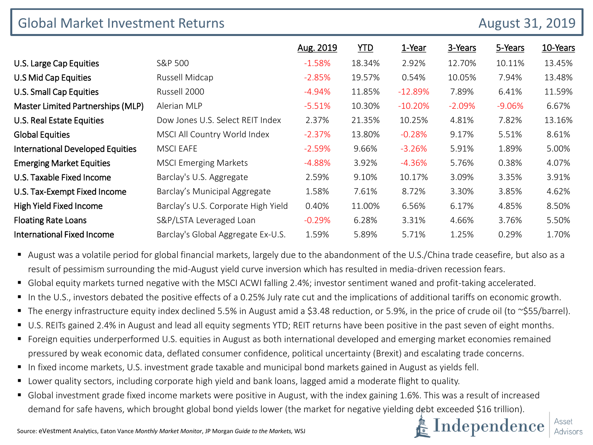| <b>Global Market Investment Returns</b> |                                     | <b>August 31, 2019</b> |            |           |          |          |          |
|-----------------------------------------|-------------------------------------|------------------------|------------|-----------|----------|----------|----------|
|                                         |                                     | Aug. 2019              | <b>YTD</b> | 1-Year    | 3-Years  | 5-Years  | 10-Years |
| U.S. Large Cap Equities                 | S&P 500                             | $-1.58%$               | 18.34%     | 2.92%     | 12.70%   | 10.11%   | 13.45%   |
| U.S Mid Cap Equities                    | Russell Midcap                      | $-2.85%$               | 19.57%     | 0.54%     | 10.05%   | 7.94%    | 13.48%   |
| U.S. Small Cap Equities                 | Russell 2000                        | $-4.94%$               | 11.85%     | $-12.89%$ | 7.89%    | 6.41%    | 11.59%   |
| Master Limited Partnerships (MLP)       | Alerian MLP                         | $-5.51%$               | 10.30%     | $-10.20%$ | $-2.09%$ | $-9.06%$ | 6.67%    |
| U.S. Real Estate Equities               | Dow Jones U.S. Select REIT Index    | 2.37%                  | 21.35%     | 10.25%    | 4.81%    | 7.82%    | 13.16%   |
| <b>Global Equities</b>                  | MSCI All Country World Index        | $-2.37%$               | 13.80%     | $-0.28%$  | 9.17%    | 5.51%    | 8.61%    |
| <b>International Developed Equities</b> | <b>MSCI EAFE</b>                    | $-2.59%$               | 9.66%      | $-3.26%$  | 5.91%    | 1.89%    | 5.00%    |
| <b>Emerging Market Equities</b>         | <b>MSCI Emerging Markets</b>        | $-4.88%$               | 3.92%      | $-4.36%$  | 5.76%    | 0.38%    | 4.07%    |
| U.S. Taxable Fixed Income               | Barclay's U.S. Aggregate            | 2.59%                  | 9.10%      | 10.17%    | 3.09%    | 3.35%    | 3.91%    |
| U.S. Tax-Exempt Fixed Income            | Barclay's Municipal Aggregate       | 1.58%                  | 7.61%      | 8.72%     | 3.30%    | 3.85%    | 4.62%    |
| High Yield Fixed Income                 | Barclay's U.S. Corporate High Yield | 0.40%                  | 11.00%     | 6.56%     | 6.17%    | 4.85%    | 8.50%    |
| <b>Floating Rate Loans</b>              | S&P/LSTA Leveraged Loan             | $-0.29%$               | 6.28%      | 3.31%     | 4.66%    | 3.76%    | 5.50%    |
| <b>International Fixed Income</b>       | Barclay's Global Aggregate Ex-U.S.  | 1.59%                  | 5.89%      | 5.71%     | 1.25%    | 0.29%    | 1.70%    |

 August was a volatile period for global financial markets, largely due to the abandonment of the U.S./China trade ceasefire, but also as a result of pessimism surrounding the mid-August yield curve inversion which has resulted in media-driven recession fears.

- Global equity markets turned negative with the MSCI ACWI falling 2.4%; investor sentiment waned and profit-taking accelerated.
- In the U.S., investors debated the positive effects of a 0.25% July rate cut and the implications of additional tariffs on economic growth.
- The energy infrastructure equity index declined 5.5% in August amid a \$3.48 reduction, or 5.9%, in the price of crude oil (to ~\$55/barrel).
- U.S. REITs gained 2.4% in August and lead all equity segments YTD; REIT returns have been positive in the past seven of eight months.
- Foreign equities underperformed U.S. equities in August as both international developed and emerging market economies remained pressured by weak economic data, deflated consumer confidence, political uncertainty (Brexit) and escalating trade concerns.
- In fixed income markets, U.S. investment grade taxable and municipal bond markets gained in August as yields fell.
- Lower quality sectors, including corporate high yield and bank loans, lagged amid a moderate flight to quality.
- **G** Global investment grade fixed income markets were positive in August, with the index gaining 1.6%. This was a result of increased demand for safe havens, which brought global bond yields lower (the market for negative yielding debt exceeded \$16 trillion).

 $\mathbf{k}$  Independence

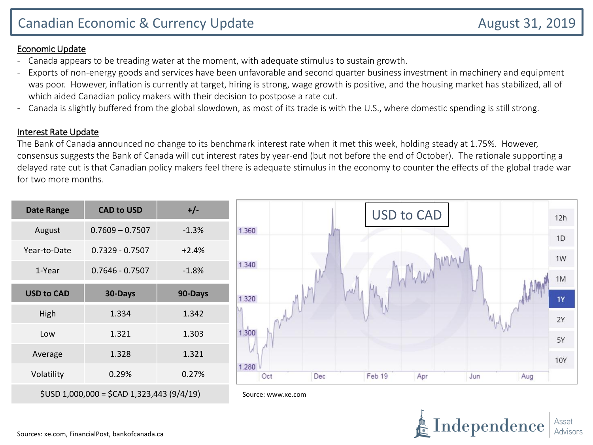## Economic Update

- Canada appears to be treading water at the moment, with adequate stimulus to sustain growth.
- Exports of non-energy goods and services have been unfavorable and second quarter business investment in machinery and equipment was poor. However, inflation is currently at target, hiring is strong, wage growth is positive, and the housing market has stabilized, all of which aided Canadian policy makers with their decision to postpose a rate cut.
- Canada is slightly buffered from the global slowdown, as most of its trade is with the U.S., where domestic spending is still strong.

## Interest Rate Update

The Bank of Canada announced no change to its benchmark interest rate when it met this week, holding steady at 1.75%. However, consensus suggests the Bank of Canada will cut interest rates by year-end (but not before the end of October). The rationale supporting a delayed rate cut is that Canadian policy makers feel there is adequate stimulus in the economy to counter the effects of the global trade war for two more months.

| <b>Date Range</b> | <b>CAD to USD</b>                          | $+/-$   | <b>USD to CAD</b>                                  | 12h            |
|-------------------|--------------------------------------------|---------|----------------------------------------------------|----------------|
| August            | $0.7609 - 0.7507$                          | $-1.3%$ | 1.360                                              | 1 <sub>D</sub> |
| Year-to-Date      | $0.7329 - 0.7507$                          | $+2.4%$ |                                                    | 1W             |
| 1-Year            | $0.7646 - 0.7507$                          | $-1.8%$ | MM<br>1.340                                        | 1M             |
| <b>USD to CAD</b> | 30-Days                                    | 90-Days | AM<br>1.320                                        | 1Y             |
| High              | 1.334                                      | 1.342   |                                                    | 2Y             |
| Low               | 1.321                                      | 1.303   | 1.300                                              | 5Y             |
| Average           | 1.328                                      | 1.321   |                                                    | <b>10Y</b>     |
| Volatility        | 0.29%                                      | 0.27%   | 1.280<br>Oct<br>Feb 19<br>Dec<br>Jun<br>Apr<br>Aug |                |
|                   | $$USD 1,000,000 = $CAD 1,323,443 (9/4/19)$ |         | Source: www.xe.com                                 |                |